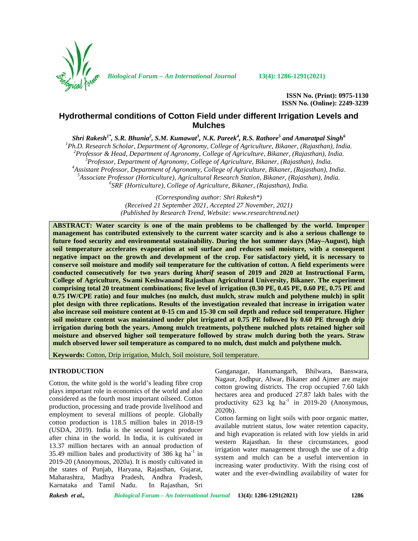

*Biological Forum – An International Journal* **13(4): 1286-1291(2021)**

**ISSN No. (Print): 0975-1130 ISSN No. (Online): 2249-3239**

# **Hydrothermal conditions of Cotton Field under different Irrigation Levels and Mulches**

 $\delta$ Shri Rakesh<sup>1\*</sup>, S.R. Bhunia<sup>2</sup>, S.M. Kumawat<sup>3</sup>, N.K. Pareek<sup>4</sup>, R.S. Rathore<sup>5</sup> and Amaratpal Singh<sup>6</sup>

<sup>1</sup>Ph.D. Research Scholar, Department of Agronomy, College of Agriculture, Bikaner, (Rajasthan), India.<br><sup>2</sup>Professor & Head, Department of Agronomy, College of Agriculture, Bikaner, (Rajasthan), India.<br><sup>3</sup>Professor, Depar

*(Corresponding author: Shri Rakesh\*) (Received 21 September 2021, Accepted 27 November, 2021) (Published by Research Trend, Website: <www.researchtrend.net>)*

**ABSTRACT: Water scarcity is one of the main problems to be challenged by the world. Improper management has contributed extensively to the current water scarcity and is also a serious challenge to future food security and environmental sustainability. During the hot summer days (May–August), high soil temperature accelerates evaporation at soil surface and reduces soil moisture, with a consequent negative impact on the growth and development of the crop. For satisfactory yield, it is necessary to conserve soil moisture and modify soil temperature for the cultivation of cotton. A field experiments were conducted consecutively for two years during** *kharif* **season of 2019 and 2020 at Instructional Farm, College of Agriculture, Swami Keshwanand Rajasthan Agricultural University, Bikaner. The experiment comprising total 20 treatment combinations; five level of irrigation (0.30 PE, 0.45 PE, 0.60 PE, 0.75 PE and 0.75 IW/CPE ratio) and four mulches (no mulch, dust mulch, straw mulch and polythene mulch) in split plot design with three replications. Results of the investigation revealed that increase in irrigation water also increase soil moisture content at 0-15 cm and 15-30 cm soil depth and reduce soil temperature. Higher soil moisture content was maintained under plot irrigated at 0.75 PE followed by 0.60 PE through drip irrigation during both the years. Among mulch treatments, polythene mulched plots retained higher soil moisture and observed higher soil temperature followed by straw mulch during both the years. Straw mulch observed lower soil temperature as compared to no mulch, dust mulch and polythene mulch.**

**Keywords:** Cotton, Drip irrigation, Mulch, Soil moisture, Soil temperature.

# **INTRODUCTION**

Cotton, the white gold is the world's leading fibre crop plays important role in economics of the world and also considered as the fourth most important oilseed. Cotton production, processing and trade provide livelihood and employment to several millions of people. Globally cotton production is 118.5 million bales in 2018-19 (USDA, 2019). India is the second largest producer after china in the world. In India, it is cultivated in 13.37 million hectares with an annual production of 35.49 million bales and productivity of 386 kg  $ha^{-1}$  in 2019-20 (Anonymous, 2020a). It is mostly cultivated in the states of Punjab, Haryana, Rajasthan, Gujarat, Maharashtra, Madhya Pradesh, Andhra Pradesh, Karnataka and Tamil Nadu. In Rajasthan, Sri

Ganganagar, Hanumangarh, Bhilwara, Banswara, Nagaur, Jodhpur, Alwar, Bikaner and Ajmer are major cotton growing districts. The crop occupied 7.60 lakh hectares area and produced 27.87 lakh bales with the productivity  $623 \text{ kg}$  ha<sup>-1</sup> in 2019-20 (Anonymous, 2020b).

 $\frac{1}{2}$  in system and mulch can be a useful intervention in Cotton farming on light soils with poor organic matter, available nutrient status, low water retention capacity, and high evaporation is related with low yields in arid western Rajasthan. In these circumstances, good irrigation water management through the use of a drip increasing water productivity. With the rising cost of water and the ever-dwindling availability of water for

*Rakesh et al., Biological Forum – An International Journal* **13(4): 1286-1291(2021) 1286**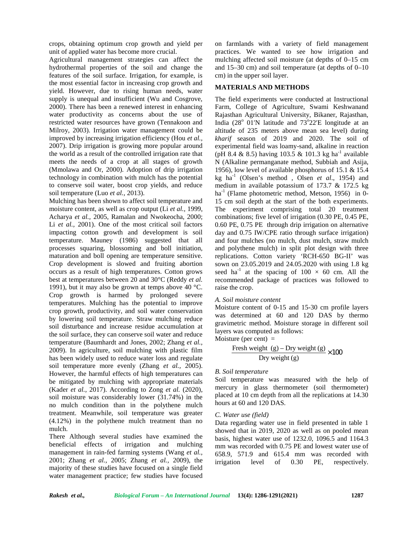crops, obtaining optimum crop growth and yield per unit of applied water has become more crucial.

Agricultural management strategies can affect the hydrothermal properties of the soil and change the features of the soil surface. Irrigation, for example, is the most essential factor in increasing crop growth and yield. However, due to rising human needs, water supply is unequal and insufficient (Wu and Cosgrove, 2000). There has been a renewed interest in enhancing water productivity as concerns about the use of restricted water resources have grown (Tennakoon and Milroy, 2003). Irrigation water management could be improved by increasing irrigation efficiency (Hou *et al.,* 2007). Drip irrigation is growing more popular around the world as a result of the controlled irrigation rate that meets the needs of a crop at all stages of growth (Mmolawa and Or, 2000). Adoption of drip irrigation technology in combination with mulch has the potential to conserve soil water, boost crop yields, and reduce soil temperature (Luo *et al.,* 2013).

Mulching has been shown to affect soil temperature and moisture content, as well as crop output (Li *et al.,* 1999, Acharya *et al.,* 2005, Ramalan and Nwokeocha, 2000; Li *et al.,* 2001). One of the most critical soil factors impacting cotton growth and development is soil temperature. Mauney (1986) suggested that all processes squaring, blossoming and boll initiation, maturation and boll opening are temperature sensitive. Crop development is slowed and fruiting abortion occurs as a result of high temperatures. Cotton grows best at temperatures between 20 and 30°C (Reddy *et al.* 1991), but it may also be grown at temps above 40 °C. Crop growth is harmed by prolonged severe temperatures. Mulching has the potential to improve crop growth, productivity, and soil water conservation by lowering soil temperature. Straw mulching reduce soil disturbance and increase residue accumulation at the soil surface, they can conserve soil water and reduce temperature (Baumhardt and Jones, 2002; Zhang *et al.,* 2009). In agriculture, soil mulching with plastic film  $F$ has been widely used to reduce water loss and regulate soil temperature more evenly (Zhang *et al.,* 2005). However, the harmful effects of high temperatures can be mitigated by mulching with appropriate materials (Kader *et al.,* 2017). According to Zong *et al.* (2020), soil moisture was considerably lower (31.74%) in the no mulch condition than in the polythene mulch treatment. Meanwhile, soil temperature was greater (4.12%) in the polythene mulch treatment than no mulch.

There Although several studies have examined the beneficial effects of irrigation and mulching management in rain-fed farming systems (Wang *et al.,* 2001; Zhang *et al.,* 2005; Zhang *et al.,* 2009), the majority of these studies have focused on a single field water management practice; few studies have focused

on farmlands with a variety of field management practices. We wanted to see how irrigation and mulching affected soil moisture (at depths of 0–15 cm and 15–30 cm) and soil temperature (at depths of 0–10 cm) in the upper soil layer.

# **MATERIALS AND METHODS**

The field experiments were conducted at Instructional Farm, College of Agriculture, Swami Keshwanand Rajasthan Agricultural University, Bikaner, Rajasthan, India  $(28^{\circ}$  01 N latitude and  $73^{\circ}22 \text{ E}$  longitude at an altitude of 235 meters above mean sea level) during *kharif* season of 2019 and 2020. The soil of experimental field was loamy-sand, alkaline in reaction (pH 8.4 & 8.5) having 103.5 & 101.3 kg ha<sup>-1</sup> available N (Alkaline permanganate method, Subbiah and Asija, 1956), low level of available phosphorus of 15.1 & 15.4 kg ha-1 (Olsen's method , Olsen *et al*., 1954) and medium in available potassium of 173.7 & 172.5 kg  $ha^{-1}$  (Flame photometric method, Metson, 1956) in 0-15 cm soil depth at the start of the both experiments. The experiment comprising total 20 treatment combinations; five level of irrigation (0.30 PE, 0.45 PE, 0.60 PE, 0.75 PE through drip irrigation on alternative day and 0.75 IW/CPE ratio through surface irrigation) and four mulches (no mulch, dust mulch, straw mulch and polythene mulch) in split plot design with three replications. Cotton variety 'RCH-650 BG-II' was sown on 23.05.2019 and 24.05.2020 with using 1.8 kg seed ha<sup>-1</sup> at the spacing of  $100 \times 60$  cm. All the recommended package of practices was followed to raise the crop.

#### *A. Soil moisture content*

Moisture content of 0-15 and 15-30 cm profile layers was determined at 60 and 120 DAS by thermo gravimetric method. Moisture storage in different soil layers was computed as follows:

Moisture (per cent)  $=$ 

$$
\frac{\text{Fresh weight (g)} - \text{Dry weight (g)}}{\text{Dry weight (g)}} \times 100
$$

# *B. Soil temperature*

Soil temperature was measured with the help of mercury in glass thermometer (soil thermometer) placed at 10 cm depth from all the replications at 14.30 hours at 60 and 120 DAS.

#### *C. Water use (field)*

Data regarding water use in field presented in table 1 showed that in 2019, 2020 as well as on pooled mean basis, highest water use of 1232.0, 1096.5 and 1164.3 mm was recorded with 0.75 PE and lowest water use of 658.9, 571.9 and 615.4 mm was recorded with  $level$  of  $0.30$  PE, respectively.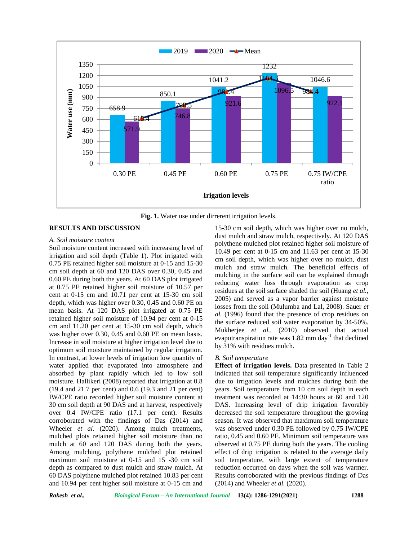

**Fig. 1.** Water use under dirrerent irrigation levels.

### **RESULTS AND DISCUSSION**

# *A. Soil moisture content*

Soil moisture content increased with increasing level of irrigation and soil depth (Table 1). Plot irrigated with 0.75 PE retained higher soil moisture at 0-15 and 15-30 cm soil depth at 60 and 120 DAS over 0.30, 0.45 and 0.60 PE during both the years. At 60 DAS plot irrigated at 0.75 PE retained higher soil moisture of 10.57 per cent at 0-15 cm and 10.71 per cent at 15-30 cm soil depth, which was higher over 0.30, 0.45 and 0.60 PE on mean basis. At 120 DAS plot irrigated at 0.75 PE retained higher soil moisture of 10.94 per cent at 0-15 cm and 11.20 per cent at 15-30 cm soil depth, which was higher over 0.30, 0.45 and 0.60 PE on mean basis. Increase in soil moisture at higher irrigation level due to optimum soil moisture maintained by regular irrigation. In contrast, at lower levels of irrigation low quantity of water applied that evaporated into atmosphere and absorbed by plant rapidly which led to low soil moisture. Hallikeri (2008) reported that irrigation at 0.8 (19.4 and 21.7 per cent) and 0.6 (19.3 and 21 per cent) IW/CPE ratio recorded higher soil moisture content at 30 cm soil depth at 90 DAS and at harvest, respectively over 0.4 IW/CPE ratio (17.1 per cent). Results corroborated with the findings of Das (2014) and Wheeler *et al.* (2020). Among mulch treatments, mulched plots retained higher soil moisture than no mulch at 60 and 120 DAS during both the years. Among mulching, polythene mulched plot retained maximum soil moisture at 0-15 and 15 -30 cm soil depth as compared to dust mulch and straw mulch. At 60 DAS polythene mulched plot retained 10.83 per cent and 10.94 per cent higher soil moisture at 0-15 cm and

15-30 cm soil depth, which was higher over no mulch, dust mulch and straw mulch, respectively. At 120 DAS polythene mulched plot retained higher soil moisture of 10.49 per cent at 0-15 cm and 11.63 per cent at 15-30 cm soil depth, which was higher over no mulch, dust mulch and straw mulch. The beneficial effects of mulching in the surface soil can be explained through reducing water loss through evaporation as crop residues at the soil surface shaded the soil (Huang *et al.,* 2005) and served as a vapor barrier against moisture losses from the soil (Mulumba and Lal, 2008). Sauer *et al.* (1996) found that the presence of crop residues on the surface reduced soil water evaporation by 34-50%. Mukherjee *et al.,* (2010) observed that actual evapotranspiration rate was  $1.82$  mm day $^{-1}$  that declined by 31% with residues mulch.

# *B. Soil temperature*

**Effect of irrigation levels.** Data presented in Table 2 indicated that soil temperature significantly influenced due to irrigation levels and mulches during both the years. Soil temperature from 10 cm soil depth in each treatment was recorded at 14:30 hours at 60 and 120 DAS. Increasing level of drip irrigation favorably decreased the soil temperature throughout the growing season. It was observed that maximum soil temperature was observed under 0.30 PE followed by 0.75 IW/CPE ratio, 0.45 and 0.60 PE. Minimum soil temperature was observed at 0.75 PE during both the years. The cooling effect of drip irrigation is related to the average daily soil temperature, with large extent of temperature reduction occurred on days when the soil was warmer. Results corroborated with the previous findings of Das (2014) and Wheeler *et al.* (2020).

*Rakesh et al., Biological Forum – An International Journal* **13(4): 1286-1291(2021) 1288**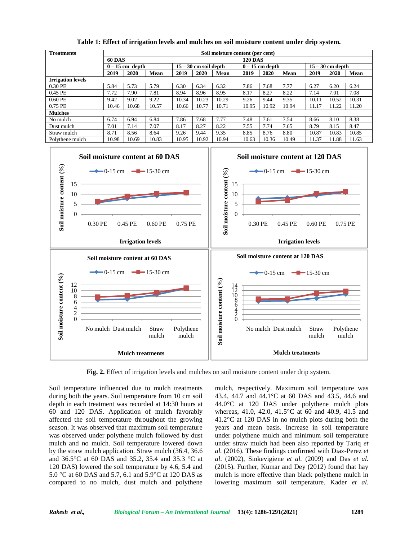| <b>Treatments</b>        | Soil moisture content (per cent) |                   |       |       |                         |       |                |                 |       |       |                    |       |  |
|--------------------------|----------------------------------|-------------------|-------|-------|-------------------------|-------|----------------|-----------------|-------|-------|--------------------|-------|--|
|                          | <b>60 DAS</b>                    |                   |       |       |                         |       | <b>120 DAS</b> |                 |       |       |                    |       |  |
|                          |                                  | $0 - 15$ cm depth |       |       | $15 - 30$ cm soil depth |       |                | $0-15$ cm depth |       |       | $15 - 30$ cm depth |       |  |
|                          | 2019                             | 2020              | Mean  | 2019  | 2020                    | Mean  | 2019           | 2020            | Mean  | 2019  | 2020               | Mean  |  |
| <b>Irrigation levels</b> |                                  |                   |       |       |                         |       |                |                 |       |       |                    |       |  |
| 0.30 PE                  | 5.84                             | 5.73              | 5.79  | 6.30  | 6.34                    | 6.32  | 7.86           | 7.68            | 7.77  | 6.27  | 6.20               | 6.24  |  |
| 0.45 PE                  | 7.72                             | 7.90              | 7.81  | 8.94  | 8.96                    | 8.95  | 8.17           | 8.27            | 8.22  | 7.14  | 7.01               | 7.08  |  |
| 0.60 PE                  | 9.42                             | 9.02              | 9.22  | 10.34 | 10.23                   | 10.29 | 9.26           | 9.44            | 9.35  | 10.11 | 10.52              | 10.31 |  |
| 0.75 PE                  | 10.46                            | 10.68             | 10.57 | 10.66 | 10.77                   | 10.71 | 10.95          | 10.92           | 10.94 | 11.17 | 11.22              | 11.20 |  |
| <b>Mulches</b>           |                                  |                   |       |       |                         |       |                |                 |       |       |                    |       |  |
| No mulch                 | 6.74                             | 6.94              | 6.84  | 7.86  | 7.68                    | 7.77  | 7.48           | 7.61            | 7.54  | 8.66  | 8.10               | 8.38  |  |
| Dust mulch               | 7.01                             | 7.14              | 7.07  | 8.17  | 8.27                    | 8.22  | 7.55           | 7.74            | 7.65  | 8.79  | 8.15               | 8.47  |  |
| Straw mulch              | 8.71                             | 8.56              | 8.64  | 9.26  | 9.44                    | 9.35  | 8.85           | 8.76            | 8.80  | 10.87 | 10.83              | 10.85 |  |
| Polythene mulch          | 10.98                            | 10.69             | 10.83 | 10.95 | 10.92                   | 10.94 | 10.63          | 10.36           | 10.49 | 11.37 | 11.88              | 11.63 |  |

**Table 1: Effect of irrigation levels and mulches on soil moisture content under drip system.**



**Fig. 2.** Effect of irrigation levels and mulches on soil moisture content under drip system.

Soil temperature influenced due to mulch treatments during both the years. Soil temperature from 10 cm soil depth in each treatment was recorded at 14:30 hours at 60 and 120 DAS. Application of mulch favorably affected the soil temperature throughout the growing season. It was observed that maximum soil temperature was observed under polythene mulch followed by dust mulch and no mulch. Soil temperature lowered down by the straw mulch application. Straw mulch (36.4, 36.6 and 36.5°C at 60 DAS and 35.2, 35.4 and 35.3 °C at 120 DAS) lowered the soil temperature by 4.6, 5.4 and 5.0 °C at 60 DAS and 5.7, 6.1 and 5.9°C at 120 DAS as compared to no mulch, dust mulch and polythene

mulch, respectively. Maximum soil temperature was 43.4, 44.7 and 44.1°C at 60 DAS and 43.5, 44.6 and 44.0°C at 120 DAS under polythene mulch plots whereas, 41.0, 42.0, 41.5°C at 60 and 40.9, 41.5 and 41.2°C at 120 DAS in no mulch plots during both the years and mean basis. Increase in soil temperature under polythene mulch and minimum soil temperature under straw mulch had been also reported by Tariq *et al.* (2016). These findings confirmed with Diaz-Perez *et al*. (2002), Sinkevigiene *etal.* (2009) and Das *et al.* (2015). Further, Kumar and Dey (2012) found that hay mulch is more effective than black polythene mulch in lowering maximum soil temperature. Kader *et al.*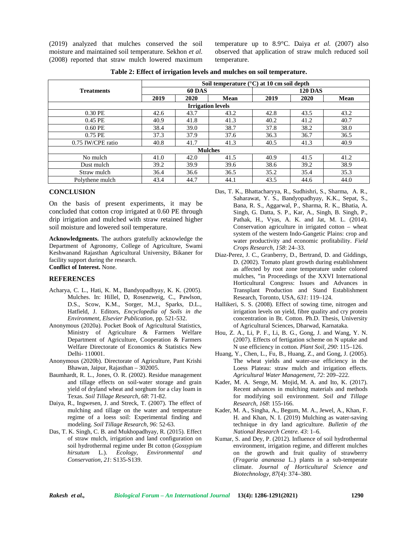(2019) analyzed that mulches conserved the soil moisture and maintained soil temperature. Sekhon *et al.* (2008) reported that straw mulch lowered maximum temperature up to 8.9°C. Daiya *et al.* (2007) also observed that application of straw mulch reduced soil temperature.

|                   | Soil temperature $(^{\circ}C)$ at 10 cm soil depth |               |                          |                |      |             |  |  |  |  |
|-------------------|----------------------------------------------------|---------------|--------------------------|----------------|------|-------------|--|--|--|--|
| <b>Treatments</b> |                                                    | <b>60 DAS</b> |                          | <b>120 DAS</b> |      |             |  |  |  |  |
|                   | 2019                                               | 2020          | <b>Mean</b>              | 2019           | 2020 | <b>Mean</b> |  |  |  |  |
|                   |                                                    |               | <b>Irrigation levels</b> |                |      |             |  |  |  |  |
| $0.30$ PE         | 42.6                                               | 43.7          | 43.2                     | 42.8           | 43.5 | 43.2        |  |  |  |  |
| 0.45 PE           | 40.9                                               | 41.8          | 41.3                     | 40.2           | 41.2 | 40.7        |  |  |  |  |
| 0.60 PE           | 38.4                                               | 39.0          | 38.7                     | 37.8           | 38.2 | 38.0        |  |  |  |  |
| 0.75 PE           | 37.3                                               | 37.9          | 37.6                     | 36.3           | 36.7 | 36.5        |  |  |  |  |
| 0.75 IW/CPE ratio | 40.8                                               | 41.7          | 41.3                     | 40.5           | 41.3 | 40.9        |  |  |  |  |
|                   |                                                    |               | <b>Mulches</b>           |                |      |             |  |  |  |  |
| No mulch          | 41.0                                               | 42.0          | 41.5                     | 40.9           | 41.5 | 41.2        |  |  |  |  |
| Dust mulch        | 39.2                                               | 39.9          | 39.6                     | 38.6           | 39.2 | 38.9        |  |  |  |  |
| Straw mulch       | 36.4                                               | 36.6          | 36.5                     | 35.2           | 35.4 | 35.3        |  |  |  |  |
| Polythene mulch   | 43.4                                               | 44.7          | 44.1                     | 43.5           | 44.6 | 44.0        |  |  |  |  |

**Table 2: Effect of irrigation levels and mulches on soil temperature.**

# **CONCLUSION**

On the basis of present experiments, it may be concluded that cotton crop irrigated at 0.60 PE through drip irrigation and mulched with straw retained higher soil moisture and lowered soil temperature.

**Acknowledgments.** The authors gratefully acknowledge the Department of Agronomy, College of Agriculture, Swami Keshwanand Rajasthan Agricultural University, Bikaner for facility support during the research. **Conflict of Interest.** None.

#### **REFERENCES**

- Acharya, C. L., Hati, K. M., Bandyopadhyay, K. K. (2005). Mulches. In: Hillel, D, Rosenzweig, C., Pawlson, D.S., Scow, K.M., Sorger, M.J., Sparks, D.L., Hatfield, J. Editors, *Encyclopedia of Soils in the Environment, Elsevier Publication,* pp. 521-532.
- Anonymous (2020a). Pocket Book of Agricultural Statistics, Ministry of Agriculture & Farmers Welfare Department of Agriculture, Cooperation & Farmers Welfare Directorate of Economics & Statistics New Delhi- 110001.
- Anonymous (2020b). Directorate of Agriculture, Pant Krishi Bhawan, Jaipur, Rajasthan – 302005.
- Baumhardt, R. L., Jones, O. R. (2002). Residue management and tillage effects on soil-water storage and grain yield of dryland wheat and sorghum for a clay loam in Texas. *Soil Tillage Research*, *68*: 71-82.
- Daiya, R., Ingwesen, J. and Streck, T. (2007). The effect of mulching and tillage on the water and temperature regime of a loess soil: Experimental finding and modeling. *Soil Tillage Research*, *96*: 52-63.
- Das, T. K. Singh, C. B. and Mukhopadhyay, R. (2015). Effect of straw mulch, irrigation and land configuration on soil hydrothermal regime under Bt cotton (*Gossypium hirsutum* L.). *Ecology, Environmental and Conservation*, *21*: S135-S139.
- Das, T. K., Bhattacharyya, R., Sudhishri, S., Sharma, A. R., Saharawat, Y. S., Bandyopadhyay, K.K., Sepat, S., Bana, R. S., Aggarwal, P., Sharma, R. K., Bhatia, A. Singh, G. Datta, S. P., Kar, A., Singh, B. Singh, P., Pathak, H., Vyas, A. K. and Jat, M. L. (2014). Conservation agriculture in irrigated cotton – wheat system of the western Indo-Gangetic Plains: crop and water productivity and economic profitability. *Field Crops Research, 158*: 24–33.
- Diaz-Perez, J. C., Granberry, D., Bertrand, D. and Giddings, D. (2002). Tomato plant growth during establishment as affected by root zone temperature under colored mulches, "in Proceedings of the XXVI International Horticultural Congress: Issues and Advances in Transplant Production and Stand Establishment Research, Toronto, USA, *631*: 119–124.
- Hallikeri, S. S. (2008). Effect of sowing time, nitrogen and irrigation levels on yield, fibre quality and cry protein concentration in Bt. Cotton. Ph.D. Thesis, University of Agricultural Sciences, Dharwad, Karnataka.
- Hou, Z. A., Li, P. F., Li, B. G., Gong, J. and Wang, Y. N. (2007). Effects of fertigation scheme on N uptake and N use efficiency in cotton. *Plant Soil, 290*: 115–126.
- Huang, Y., Chen, L., Fu, B., Huang, Z., and Gong, J. (2005). The wheat yields and water-use efficiency in the Loess Plateau: straw mulch and irrigation effects. *Agricultural Water Management, 72*: 209–222.
- Kader, M. A. Senge, M. Mojid, M. A. and Ito, K. (2017). Recent advances in mulching materials and methods for modifying soil environment. *Soil and Tillage Research*, *168*: 155-166.
- Kader, M. A., Singha, A., Begum, M. A., Jewel, A., Khan, F. H. and Khan, N. I. (2019) Mulching as water-saving technique in dry land agriculture. *Bulletin of the National Research Centre. 43*: 1–6.
- Kumar, S. and Dey, P. (2012). Influence of soil hydrothermal environment, irrigation regime, and different mulches on the growth and fruit quality of strawberry (*Fragaria ananassa* L.) plants in a sub-temperate climate. *Journal of Horticultural Science and Biotechnology*, *87*(4): 374–380.